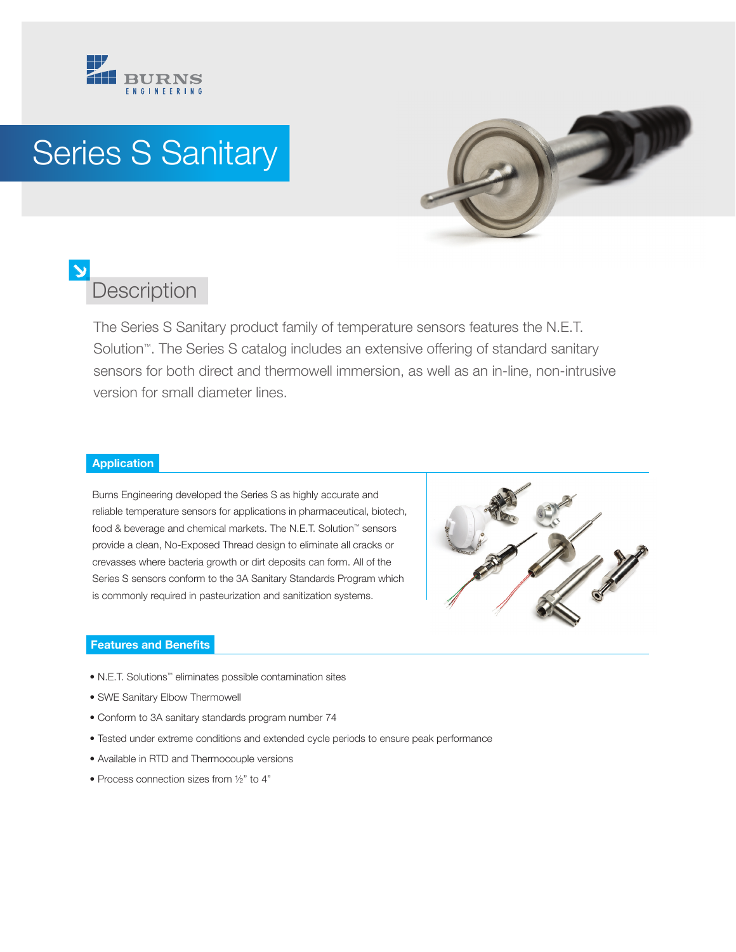

## Series S Sanitary



## **Description**

The Series S Sanitary product family of temperature sensors features the N.E.T. Solution™. The Series S catalog includes an extensive offering of standard sanitary sensors for both direct and thermowell immersion, as well as an in-line, non-intrusive version for small diameter lines.

## **Application**

Burns Engineering developed the Series S as highly accurate and reliable temperature sensors for applications in pharmaceutical, biotech, food & beverage and chemical markets. The N.E.T. Solution™ sensors provide a clean, No-Exposed Thread design to eliminate all cracks or crevasses where bacteria growth or dirt deposits can form. All of the Series S sensors conform to the 3A Sanitary Standards Program which is commonly required in pasteurization and sanitization systems.



## **Features and Benefits**

- N.E.T. Solutions™ eliminates possible contamination sites
- SWE Sanitary Elbow Thermowell
- Conform to 3A sanitary standards program number 74
- Tested under extreme conditions and extended cycle periods to ensure peak performance
- Available in RTD and Thermocouple versions
- Process connection sizes from ½" to 4"